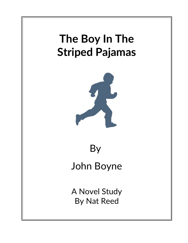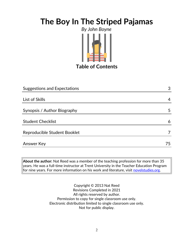

# **Table of Contents**

| Suggestions and Expectations | 3   |
|------------------------------|-----|
|                              |     |
| List of Skills               | 4   |
| Synopsis / Author Biography  | 5   |
| <b>Student Checklist</b>     | 6   |
| Reproducible Student Booklet |     |
| Answer Key                   | 75. |

**About the author:** Nat Reed was a member of the teaching profession for more than 35 years. He was a full-time instructor at Trent University in the Teacher Education Program  $|$  for nine years. For more information on his work and literature, visit [novelstudies.org.](http://www.novelstudies.org/)

> Copyright © 2013 Nat Reed Revisions Completed in 2021 All rights reserved by author. Permission to copy for single classroom use only. Electronic distribution limited to single classroom use only. Not for public display.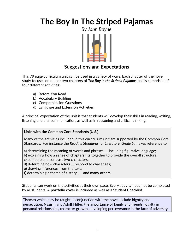

### **Suggestions and Expectations**

This 79 page curriculum unit can be used in a variety of ways. Each chapter of the novel study focuses on one or two chapters of *The Boy in the Striped Pajamas* and is comprised of four different activities:

- a) Before You Read
- b) Vocabulary Building
- c) Comprehension Questions
- d) Language and Extension Activities

A principal expectation of the unit is that students will develop their skills in reading, writing, listening and oral communication, as well as in reasoning and critical thinking.

### **Links with the Common Core Standards (U.S.)**

Many of the activities included in this curriculum unit are supported by the Common Core Standards. For instance the *Reading Standards for Literature, Grade 5*, makes reference to

a) determining the meaning of words and phrases. . . including figurative language;

- b) explaining how a series of chapters fits together to provide the overall structure;
- c) compare and contrast two characters;
- d) determine how characters … respond to challenges;
- e) drawing inferences from the text;
- f) determining a theme of a story . . . **and many others.**

Students can work on the activities at their own pace. Every activity need not be completed by all students. A **portfolio cover** is included as well as a **Student Checklist**.

**Themes** which may be taught in conjunction with the novel include bigotry and persecution, Nazism and Adolf Hitler, the importance of family and friends, loyalty in personal relationships, character growth, developing perseverance in the face of adversity.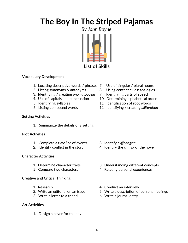

### **List of Skills**

### **Vocabulary Development**

- 1. Locating descriptive words / phrases 7. Use of singular / plural nouns
- 
- 3. Identifying / creating *onomatopoeia* 9. Identifying parts of speech
- 
- 
- 

### **Setting Activities**

1. Summarize the details of a setting

#### **Plot Activities**

- 1. Complete a *time line* of events 3. Identify *cliffhangers*.
- 

### **Character Activities**

- 
- 

### **Creative and Critical Thinking**

- 
- 
- 3. Write a letter to a friend 6. Write a journal entry.

### **Art Activities**

1. Design a cover for the novel

- 
- 2. Listing synonyms & antonyms 8. Using content clues: analogies
	-
- 4. Use of capitals and punctuation 10. Determining alphabetical order
- 5. Identifying syllables 11. Identification of root words
- 6. Listing compound words 12. Identifying / creating *alliteration*

- 
- 2. Identify conflict in the story 4. Identify the climax of the novel.
- 1. Determine character traits 3. Understanding different concepts
- 2. Compare two characters 4. Relating personal experiences
- 1. Research 1. Research 1. Research 1. Research 1. Research 1. Research 1. Research 1. Research 1. Research 1.
- 2. Write an editorial on an issue 5. Write a description of personal feelings
	-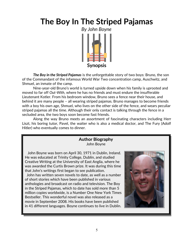

*The Boy in the Striped Pajamas* is the unforgettable story of two boys: Bruno, the son of the Commandant of the infamous World War Two concentration camp, Auschwitz, and Shmuel, an inmate of the camp.

Nine-year-old Bruno's world is turned upside down when his family is uprooted and moved to far off *Out-With*, where he has no friends and must endure the insufferable Lieutenant Kotler. From his bedroom window, Bruno sees a fence near their house, and behind it are many people – all wearing striped pajamas. Bruno manages to become friends with a boy his own age, Shmuel, who lives on the other side of the fence, and wears peculiar striped pajamas all the time. Although their only contact is talking through the fence in a secluded area, the two boys soon become fast friends.

Along the way Bruno meets an assortment of fascinating characters including Herr Liszt, his boring tutor, Pavel, the waiter who is also a medical doctor, and The Fury (Adolf Hitler) who eventually comes to dinner.

### **Author Biography** John Boyne

 John Boyne was born on April 30, 1971 in Dublin, Ireland. He was educated at Trinity [College, Dublin,](http://en.wikipedia.org/wiki/Trinity_College,_Dublin) and studied Creative Writing at the [University of East Anglia,](http://en.wikipedia.org/wiki/University_of_East_Anglia) where he was awarded the Curtis Brown prize. It was during this time that John's writings first began to see publication.

 John has written seven novels to date, as well as a number of short stories which have been published in various anthologies and broadcast on radio and television. The Boy in the Striped Pajamas, which to date has sold more than 5 million copies worldwide, is a Number One New York Times Bestseller. This wonderful novel was also released as a movie in September 2008. His books have been published in 41 different languages. Boyne continues to live in Dublin.

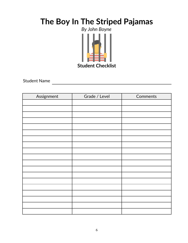

Student Name

| Assignment | Grade / Level | Comments |  |
|------------|---------------|----------|--|
|            |               |          |  |
|            |               |          |  |
|            |               |          |  |
|            |               |          |  |
|            |               |          |  |
|            |               |          |  |
|            |               |          |  |
|            |               |          |  |
|            |               |          |  |
|            |               |          |  |
|            |               |          |  |
|            |               |          |  |
|            |               |          |  |
|            |               |          |  |
|            |               |          |  |
|            |               |          |  |
|            |               |          |  |
|            |               |          |  |
|            |               |          |  |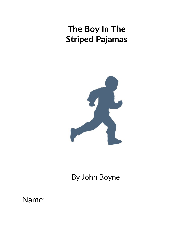

# By John Boyne

# Name: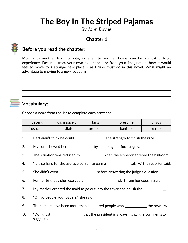*By John Boyne*

# **Chapter 1**



### **Before you read the chapter**:

Moving to another town or city, or even to another home, can be a most difficult experience. Describe from your own experience, or from your imagination, how it would feel to move to a strange new place – as Bruno must do in this novel. What might an advantage to moving to a new location?

# **Vocabulary:**

Choose a word from the list to complete each sentence.

| decent      | dismissively | tartan    | presume         | chaos  |
|-------------|--------------|-----------|-----------------|--------|
| frustration | hesitate     | protested | <b>banister</b> | muster |

1. Bert didn't think he could \_\_\_\_\_\_\_\_\_\_\_\_\_\_\_\_\_\_ the strength to finish the race.

2. My aunt showed her \_\_\_\_\_\_\_\_\_\_\_\_\_\_\_\_\_ by stamping her foot angrily.

3. The situation was reduced to \_\_\_\_\_\_\_\_\_\_\_ when the emperor entered the ballroom.

- 4. "It is so hard for the average person to earn a salary," the reporter said.
- 5. She didn't even \_\_\_\_\_\_\_\_\_\_\_\_\_\_\_\_\_\_\_\_\_\_\_ before answering the judge's question.
- 6. For her birthday she received a  $\sim$  skirt from her cousin, Sara.
- 7. My mother ordered the maid to go out into the foyer and polish the <u>sequence</u> of the sequence of the sequence of the sequence of the sequence of the sequence of the sequence of the sequence of the sequence of the sequen

8. "Oh go peddle your papers," she said \_\_\_\_\_\_\_\_\_\_\_\_\_\_\_.

- 9. There must have been more than a hundred people who \_\_\_\_\_\_\_\_\_\_\_\_ the new law.
- 10. "Don't just \_\_\_\_\_\_\_\_\_\_\_\_\_\_\_\_\_\_that the president is always right," the commentator suggested.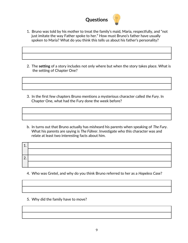

- 1. Bruno was told by his mother to treat the family's maid, Maria, respectfully, and "not just imitate the way Father spoke to her." How must Bruno's father have usually spoken to Maria? What do you think this tells us about his father's personality?
- 2. The **setting** of a story includes not only where but when the story takes place. What is the setting of Chapter One?
- 3. In the first few chapters Bruno mentions a mysterious character called *the Fury*. In Chapter One, what had the Fury done the week before?
- b. In turns out that Bruno actually has misheard his parents when speaking of *The Fury*. What his parents are saying is *The Führer*. Investigate who this character was and relate at least two interesting facts about him.

| C<br>$\sim$ |  |
|-------------|--|
|             |  |

- 4. Who was Gretel, and why do you think Bruno referred to her as a *Hopeless Case*?
- 5. Why did the family have to move?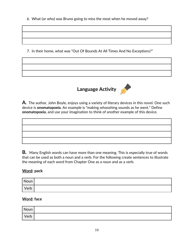6. What (or who) was Bruno going to miss the most when he moved away?

7. In their home, what was "Out Of Bounds At All Times And No Exceptions?"



**A***.* The author, John Boyle, enjoys using a variety of literary devices in this novel. One such device is **onomatopoeia**. An example is "making whooshing sounds as he went." Define **onomatopoeia**, and use your imagination to think of another example of this device.



**B***.* Many English words can have more than one meaning. This is especially true of words that can be used as both a noun and a verb. For the following create sentences to illustrate the meaning of each word from Chapter One as a noun and as a verb.

### **Word: pack**

| Noun |  |
|------|--|
| Verb |  |

### **Word: face**

| Noun |  |
|------|--|
| Verb |  |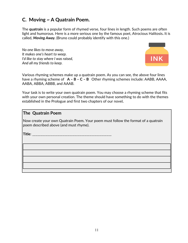### **C. Moving ~ A Quatrain Poem.**

The **quatrain** is a popular form of rhymed verse, four lines in length. Such poems are often light and humorous. Here is a more serious one by the famous poet, Atrocious Halitosis*.* It is called, *Moving Away.* (Bruno could probably identify with this one.)

*No one likes to move away, It makes one's heart to weep. I'd like to stay where I was raised, And all my friends to keep.*



Various rhyming schemes make up a quatrain poem. As you can see, the above four lines have a rhyming scheme of **A – B – C – B** Other rhyming schemes include: AABB, AAAA, AABA, ABBA, ABBB, and AAAB.

Your task is to write your own quatrain poem. You may choose a rhyming scheme that fits with your own personal creation. The theme should have something to do with the themes established in the Prologue and first two chapters of our novel*.*

#### **The Quatrain Poem**

Now create your own Quatrain Poem. Your poem must follow the format of a quatrain poem described above (and must rhyme).

**Title**: \_\_\_\_\_\_\_\_\_\_\_\_\_\_\_\_\_\_\_\_\_\_\_\_\_\_\_\_\_\_\_\_\_\_\_\_\_\_\_\_\_\_\_\_\_\_\_